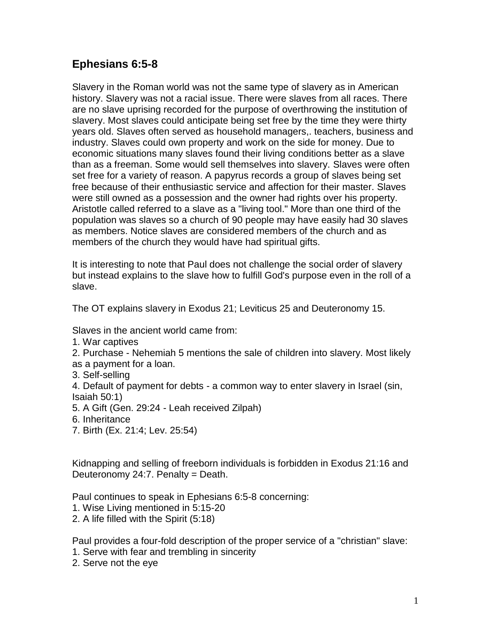# **Ephesians 6:5-8**

Slavery in the Roman world was not the same type of slavery as in American history. Slavery was not a racial issue. There were slaves from all races. There are no slave uprising recorded for the purpose of overthrowing the institution of slavery. Most slaves could anticipate being set free by the time they were thirty years old. Slaves often served as household managers,. teachers, business and industry. Slaves could own property and work on the side for money. Due to economic situations many slaves found their living conditions better as a slave than as a freeman. Some would sell themselves into slavery. Slaves were often set free for a variety of reason. A papyrus records a group of slaves being set free because of their enthusiastic service and affection for their master. Slaves were still owned as a possession and the owner had rights over his property. Aristotle called referred to a slave as a "living tool." More than one third of the population was slaves so a church of 90 people may have easily had 30 slaves as members. Notice slaves are considered members of the church and as members of the church they would have had spiritual gifts.

It is interesting to note that Paul does not challenge the social order of slavery but instead explains to the slave how to fulfill God's purpose even in the roll of a slave.

The OT explains slavery in Exodus 21; Leviticus 25 and Deuteronomy 15.

Slaves in the ancient world came from:

1. War captives

2. Purchase - Nehemiah 5 mentions the sale of children into slavery. Most likely as a payment for a loan.

3. Self-selling

4. Default of payment for debts - a common way to enter slavery in Israel (sin, Isaiah 50:1)

- 5. A Gift (Gen. 29:24 Leah received Zilpah)
- 6. Inheritance
- 7. Birth (Ex. 21:4; Lev. 25:54)

Kidnapping and selling of freeborn individuals is forbidden in Exodus 21:16 and Deuteronomy 24:7. Penalty = Death.

Paul continues to speak in Ephesians 6:5-8 concerning:

- 1. Wise Living mentioned in 5:15-20
- 2. A life filled with the Spirit (5:18)

Paul provides a four-fold description of the proper service of a "christian" slave:

- 1. Serve with fear and trembling in sincerity
- 2. Serve not the eye